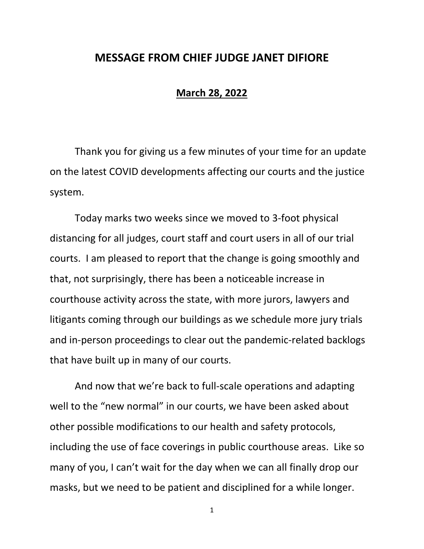## **MESSAGE FROM CHIEF JUDGE JANET DIFIORE**

## **March 28, 2022**

Thank you for giving us a few minutes of your time for an update on the latest COVID developments affecting our courts and the justice system.

Today marks two weeks since we moved to 3-foot physical distancing for all judges, court staff and court users in all of our trial courts. I am pleased to report that the change is going smoothly and that, not surprisingly, there has been a noticeable increase in courthouse activity across the state, with more jurors, lawyers and litigants coming through our buildings as we schedule more jury trials and in-person proceedings to clear out the pandemic-related backlogs that have built up in many of our courts.

And now that we're back to full-scale operations and adapting well to the "new normal" in our courts, we have been asked about other possible modifications to our health and safety protocols, including the use of face coverings in public courthouse areas. Like so many of you, I can't wait for the day when we can all finally drop our masks, but we need to be patient and disciplined for a while longer.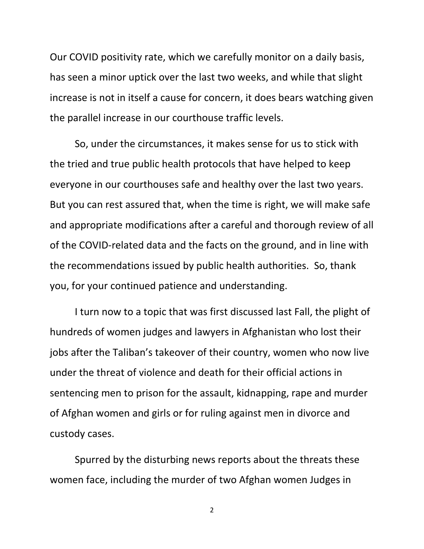Our COVID positivity rate, which we carefully monitor on a daily basis, has seen a minor uptick over the last two weeks, and while that slight increase is not in itself a cause for concern, it does bears watching given the parallel increase in our courthouse traffic levels.

So, under the circumstances, it makes sense for us to stick with the tried and true public health protocols that have helped to keep everyone in our courthouses safe and healthy over the last two years. But you can rest assured that, when the time is right, we will make safe and appropriate modifications after a careful and thorough review of all of the COVID-related data and the facts on the ground, and in line with the recommendations issued by public health authorities. So, thank you, for your continued patience and understanding.

I turn now to a topic that was first discussed last Fall, the plight of hundreds of women judges and lawyers in Afghanistan who lost their jobs after the Taliban's takeover of their country, women who now live under the threat of violence and death for their official actions in sentencing men to prison for the assault, kidnapping, rape and murder of Afghan women and girls or for ruling against men in divorce and custody cases.

Spurred by the disturbing news reports about the threats these women face, including the murder of two Afghan women Judges in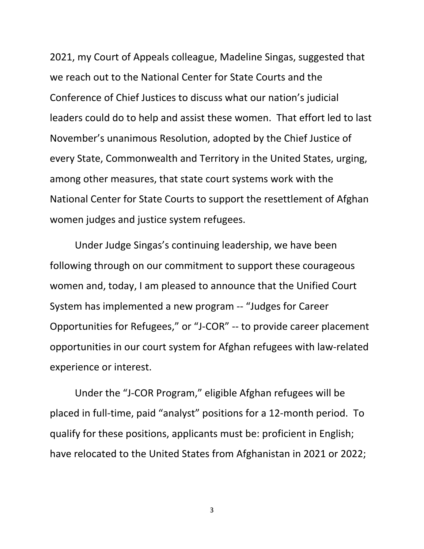2021, my Court of Appeals colleague, Madeline Singas, suggested that we reach out to the National Center for State Courts and the Conference of Chief Justices to discuss what our nation's judicial leaders could do to help and assist these women. That effort led to last November's unanimous Resolution, adopted by the Chief Justice of every State, Commonwealth and Territory in the United States, urging, among other measures, that state court systems work with the National Center for State Courts to support the resettlement of Afghan women judges and justice system refugees.

Under Judge Singas's continuing leadership, we have been following through on our commitment to support these courageous women and, today, I am pleased to announce that the Unified Court System has implemented a new program -- "Judges for Career Opportunities for Refugees," or "J-COR" -- to provide career placement opportunities in our court system for Afghan refugees with law-related experience or interest.

Under the "J-COR Program," eligible Afghan refugees will be placed in full-time, paid "analyst" positions for a 12-month period. To qualify for these positions, applicants must be: proficient in English; have relocated to the United States from Afghanistan in 2021 or 2022;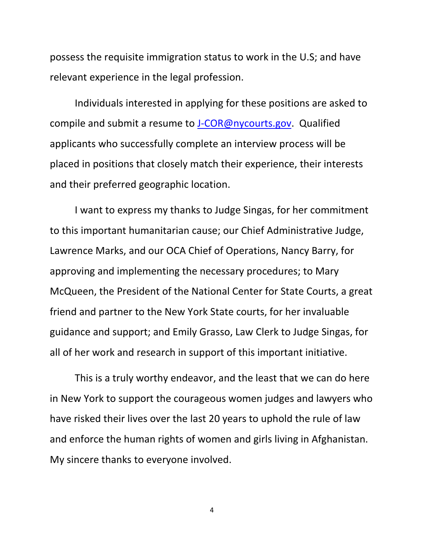possess the requisite immigration status to work in the U.S; and have relevant experience in the legal profession.

Individuals interested in applying for these positions are asked to compile and submit a resume to [J-COR@nycourts.gov.](mailto:J-COR@nycourts.gov) Qualified applicants who successfully complete an interview process will be placed in positions that closely match their experience, their interests and their preferred geographic location.

I want to express my thanks to Judge Singas, for her commitment to this important humanitarian cause; our Chief Administrative Judge, Lawrence Marks, and our OCA Chief of Operations, Nancy Barry, for approving and implementing the necessary procedures; to Mary McQueen, the President of the National Center for State Courts, a great friend and partner to the New York State courts, for her invaluable guidance and support; and Emily Grasso, Law Clerk to Judge Singas, for all of her work and research in support of this important initiative.

 This is a truly worthy endeavor, and the least that we can do here in New York to support the courageous women judges and lawyers who have risked their lives over the last 20 years to uphold the rule of law and enforce the human rights of women and girls living in Afghanistan. My sincere thanks to everyone involved.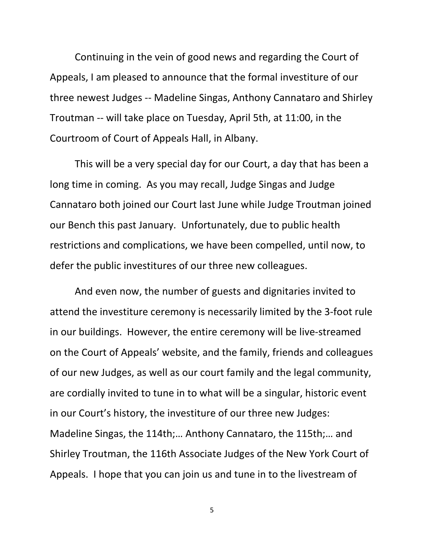Continuing in the vein of good news and regarding the Court of Appeals, I am pleased to announce that the formal investiture of our three newest Judges -- Madeline Singas, Anthony Cannataro and Shirley Troutman -- will take place on Tuesday, April 5th, at 11:00, in the Courtroom of Court of Appeals Hall, in Albany.

This will be a very special day for our Court, a day that has been a long time in coming. As you may recall, Judge Singas and Judge Cannataro both joined our Court last June while Judge Troutman joined our Bench this past January. Unfortunately, due to public health restrictions and complications, we have been compelled, until now, to defer the public investitures of our three new colleagues.

And even now, the number of guests and dignitaries invited to attend the investiture ceremony is necessarily limited by the 3-foot rule in our buildings. However, the entire ceremony will be live-streamed on the Court of Appeals' website, and the family, friends and colleagues of our new Judges, as well as our court family and the legal community, are cordially invited to tune in to what will be a singular, historic event in our Court's history, the investiture of our three new Judges: Madeline Singas, the 114th;… Anthony Cannataro, the 115th;… and Shirley Troutman, the 116th Associate Judges of the New York Court of Appeals. I hope that you can join us and tune in to the livestream of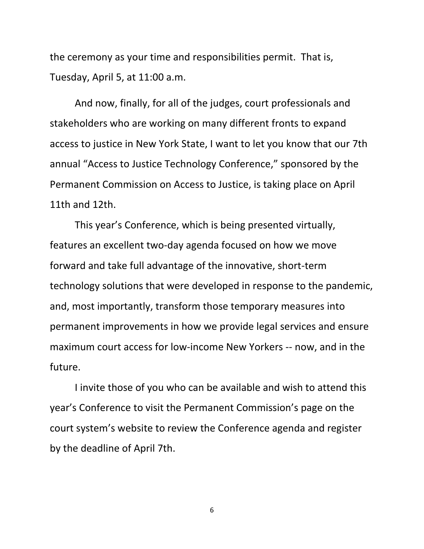the ceremony as your time and responsibilities permit. That is, Tuesday, April 5, at 11:00 a.m.

And now, finally, for all of the judges, court professionals and stakeholders who are working on many different fronts to expand access to justice in New York State, I want to let you know that our 7th annual "Access to Justice Technology Conference," sponsored by the Permanent Commission on Access to Justice, is taking place on April 11th and 12th.

This year's Conference, which is being presented virtually, features an excellent two-day agenda focused on how we move forward and take full advantage of the innovative, short-term technology solutions that were developed in response to the pandemic, and, most importantly, transform those temporary measures into permanent improvements in how we provide legal services and ensure maximum court access for low-income New Yorkers -- now, and in the future.

I invite those of you who can be available and wish to attend this year's Conference to visit the Permanent Commission's page on the court system's website to review the Conference agenda and register by the deadline of April 7th.